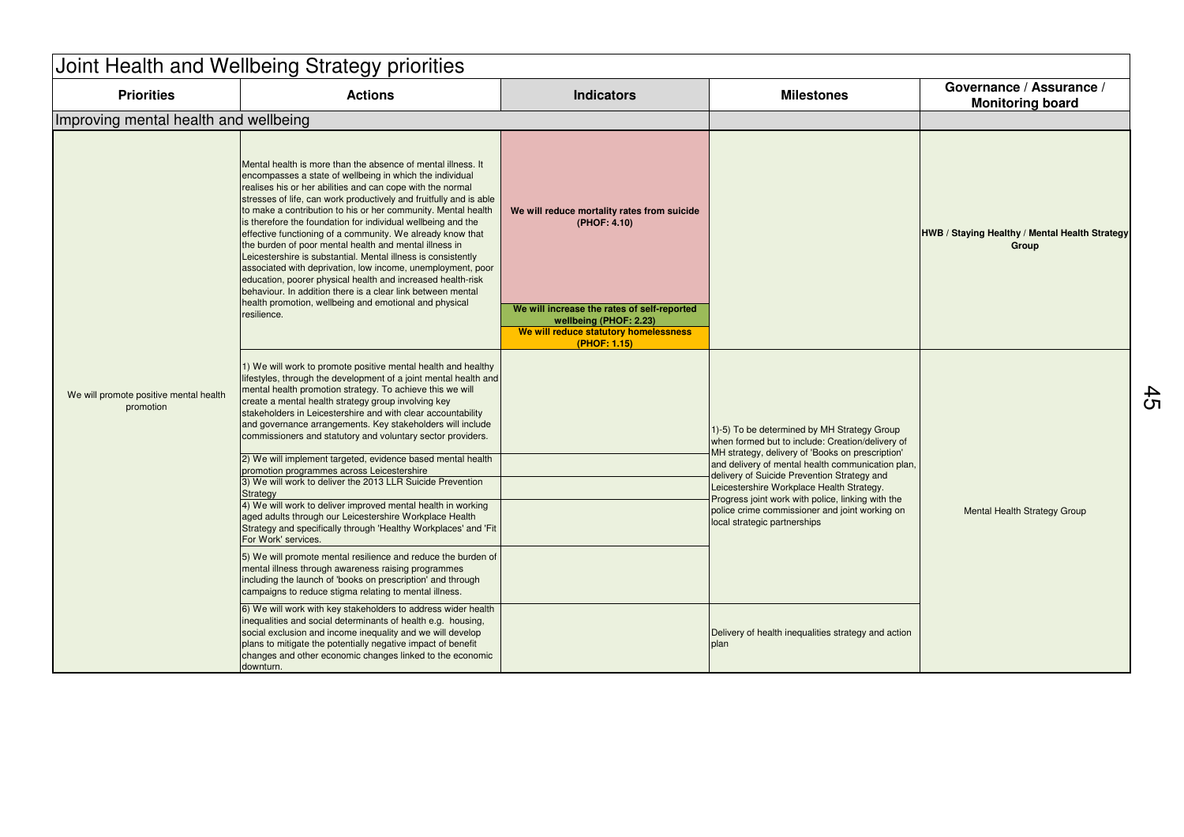| Joint Health and Wellbeing Strategy priorities      |                                                                                                                                                                                                                                                                                                                                                                                                                                                                                                                                                                                                                                                                                                                                                                                                                                                                                                                                 |                                                                                                                                                                                               |                                                                                                                                                                                                                                                                                                                                                                                                                                             |                                                         |  |  |  |  |
|-----------------------------------------------------|---------------------------------------------------------------------------------------------------------------------------------------------------------------------------------------------------------------------------------------------------------------------------------------------------------------------------------------------------------------------------------------------------------------------------------------------------------------------------------------------------------------------------------------------------------------------------------------------------------------------------------------------------------------------------------------------------------------------------------------------------------------------------------------------------------------------------------------------------------------------------------------------------------------------------------|-----------------------------------------------------------------------------------------------------------------------------------------------------------------------------------------------|---------------------------------------------------------------------------------------------------------------------------------------------------------------------------------------------------------------------------------------------------------------------------------------------------------------------------------------------------------------------------------------------------------------------------------------------|---------------------------------------------------------|--|--|--|--|
| <b>Priorities</b>                                   | <b>Actions</b>                                                                                                                                                                                                                                                                                                                                                                                                                                                                                                                                                                                                                                                                                                                                                                                                                                                                                                                  | <b>Indicators</b>                                                                                                                                                                             | <b>Milestones</b>                                                                                                                                                                                                                                                                                                                                                                                                                           | Governance / Assurance /<br><b>Monitoring board</b>     |  |  |  |  |
| Improving mental health and wellbeing               |                                                                                                                                                                                                                                                                                                                                                                                                                                                                                                                                                                                                                                                                                                                                                                                                                                                                                                                                 |                                                                                                                                                                                               |                                                                                                                                                                                                                                                                                                                                                                                                                                             |                                                         |  |  |  |  |
| We will promote positive mental health<br>promotion | Mental health is more than the absence of mental illness. It<br>encompasses a state of wellbeing in which the individual<br>realises his or her abilities and can cope with the normal<br>stresses of life, can work productively and fruitfully and is able<br>to make a contribution to his or her community. Mental health<br>is therefore the foundation for individual wellbeing and the<br>effective functioning of a community. We already know that<br>the burden of poor mental health and mental illness in<br>Leicestershire is substantial. Mental illness is consistently<br>associated with deprivation, low income, unemployment, poor<br>education, poorer physical health and increased health-risk<br>behaviour. In addition there is a clear link between mental<br>health promotion, wellbeing and emotional and physical<br>resilience.                                                                    | We will reduce mortality rates from suicide<br>(PHOF: 4.10)<br>We will increase the rates of self-reported<br>wellbeing (PHOF: 2.23)<br>We will reduce statutory homelessness<br>(PHOF: 1.15) |                                                                                                                                                                                                                                                                                                                                                                                                                                             | HWB / Staying Healthy / Mental Health Strategy<br>Group |  |  |  |  |
|                                                     | 1) We will work to promote positive mental health and healthy<br>lifestyles, through the development of a joint mental health and<br>mental health promotion strategy. To achieve this we will<br>create a mental health strategy group involving key<br>stakeholders in Leicestershire and with clear accountability<br>and governance arrangements. Key stakeholders will include<br>commissioners and statutory and voluntary sector providers.<br>2) We will implement targeted, evidence based mental health<br>promotion programmes across Leicestershire<br>3) We will work to deliver the 2013 LLR Suicide Prevention<br>Strategy<br>4) We will work to deliver improved mental health in working<br>aged adults through our Leicestershire Workplace Health<br>Strategy and specifically through 'Healthy Workplaces' and 'Fit<br>For Work' services.<br>5) We will promote mental resilience and reduce the burden of |                                                                                                                                                                                               | 1)-5) To be determined by MH Strategy Group<br>when formed but to include: Creation/delivery of<br>MH strategy, delivery of 'Books on prescription'<br>and delivery of mental health communication plan,<br>delivery of Suicide Prevention Strategy and<br>Leicestershire Workplace Health Strategy.<br>Progress joint work with police, linking with the<br>police crime commissioner and joint working on<br>local strategic partnerships | <b>Mental Health Strategy Group</b>                     |  |  |  |  |
|                                                     | mental illness through awareness raising programmes<br>including the launch of 'books on prescription' and through<br>campaigns to reduce stigma relating to mental illness.                                                                                                                                                                                                                                                                                                                                                                                                                                                                                                                                                                                                                                                                                                                                                    |                                                                                                                                                                                               |                                                                                                                                                                                                                                                                                                                                                                                                                                             |                                                         |  |  |  |  |
|                                                     | 6) We will work with key stakeholders to address wider health<br>inequalities and social determinants of health e.g. housing.<br>social exclusion and income inequality and we will develop<br>plans to mitigate the potentially negative impact of benefit<br>changes and other economic changes linked to the economic<br>downturn.                                                                                                                                                                                                                                                                                                                                                                                                                                                                                                                                                                                           |                                                                                                                                                                                               | Delivery of health inequalities strategy and action<br>plan                                                                                                                                                                                                                                                                                                                                                                                 |                                                         |  |  |  |  |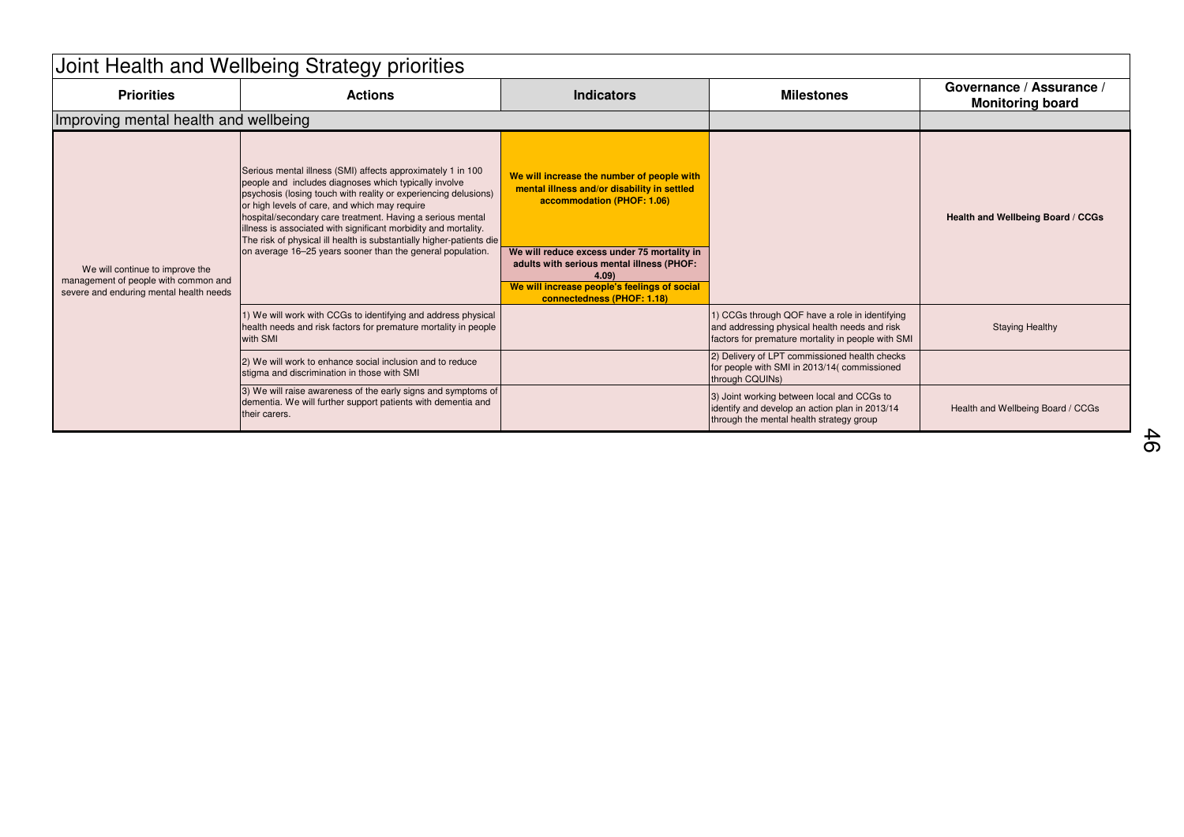| Joint Health and Wellbeing Strategy priorities                                                                     |                                                                                                                                                                                                                                                                                                                                                                                                                                                                                                                 |                                                                                                                                                                                                                                                                                                           |                                                                                                                                                       |                                                     |  |  |  |  |
|--------------------------------------------------------------------------------------------------------------------|-----------------------------------------------------------------------------------------------------------------------------------------------------------------------------------------------------------------------------------------------------------------------------------------------------------------------------------------------------------------------------------------------------------------------------------------------------------------------------------------------------------------|-----------------------------------------------------------------------------------------------------------------------------------------------------------------------------------------------------------------------------------------------------------------------------------------------------------|-------------------------------------------------------------------------------------------------------------------------------------------------------|-----------------------------------------------------|--|--|--|--|
| <b>Priorities</b>                                                                                                  | <b>Actions</b>                                                                                                                                                                                                                                                                                                                                                                                                                                                                                                  | <b>Indicators</b>                                                                                                                                                                                                                                                                                         | <b>Milestones</b>                                                                                                                                     | Governance / Assurance /<br><b>Monitoring board</b> |  |  |  |  |
| Improving mental health and wellbeing                                                                              |                                                                                                                                                                                                                                                                                                                                                                                                                                                                                                                 |                                                                                                                                                                                                                                                                                                           |                                                                                                                                                       |                                                     |  |  |  |  |
| We will continue to improve the<br>management of people with common and<br>severe and enduring mental health needs | Serious mental illness (SMI) affects approximately 1 in 100<br>people and includes diagnoses which typically involve<br>psychosis (losing touch with reality or experiencing delusions)<br>or high levels of care, and which may require<br>hospital/secondary care treatment. Having a serious mental<br>illness is associated with significant morbidity and mortality.<br>The risk of physical ill health is substantially higher-patients die<br>on average 16-25 years sooner than the general population. | We will increase the number of people with<br>mental illness and/or disability in settled<br>accommodation (PHOF: 1.06)<br>We will reduce excess under 75 mortality in<br>adults with serious mental illness (PHOF:<br>4.09<br>We will increase people's feelings of social<br>connectedness (PHOF: 1.18) |                                                                                                                                                       | Health and Wellbeing Board / CCGs                   |  |  |  |  |
|                                                                                                                    | 1) We will work with CCGs to identifying and address physical<br>health needs and risk factors for premature mortality in people<br>with SMI                                                                                                                                                                                                                                                                                                                                                                    |                                                                                                                                                                                                                                                                                                           | 1) CCGs through QOF have a role in identifying<br>and addressing physical health needs and risk<br>factors for premature mortality in people with SMI | <b>Staying Healthy</b>                              |  |  |  |  |
|                                                                                                                    | 2) We will work to enhance social inclusion and to reduce<br>stigma and discrimination in those with SMI                                                                                                                                                                                                                                                                                                                                                                                                        |                                                                                                                                                                                                                                                                                                           | 2) Delivery of LPT commissioned health checks<br>for people with SMI in 2013/14(commissioned<br>through CQUINs)                                       |                                                     |  |  |  |  |
|                                                                                                                    | 3) We will raise awareness of the early signs and symptoms of<br>dementia. We will further support patients with dementia and<br>their carers.                                                                                                                                                                                                                                                                                                                                                                  |                                                                                                                                                                                                                                                                                                           | 3) Joint working between local and CCGs to<br>identify and develop an action plan in 2013/14<br>through the mental health strategy group              | Health and Wellbeing Board / CCGs                   |  |  |  |  |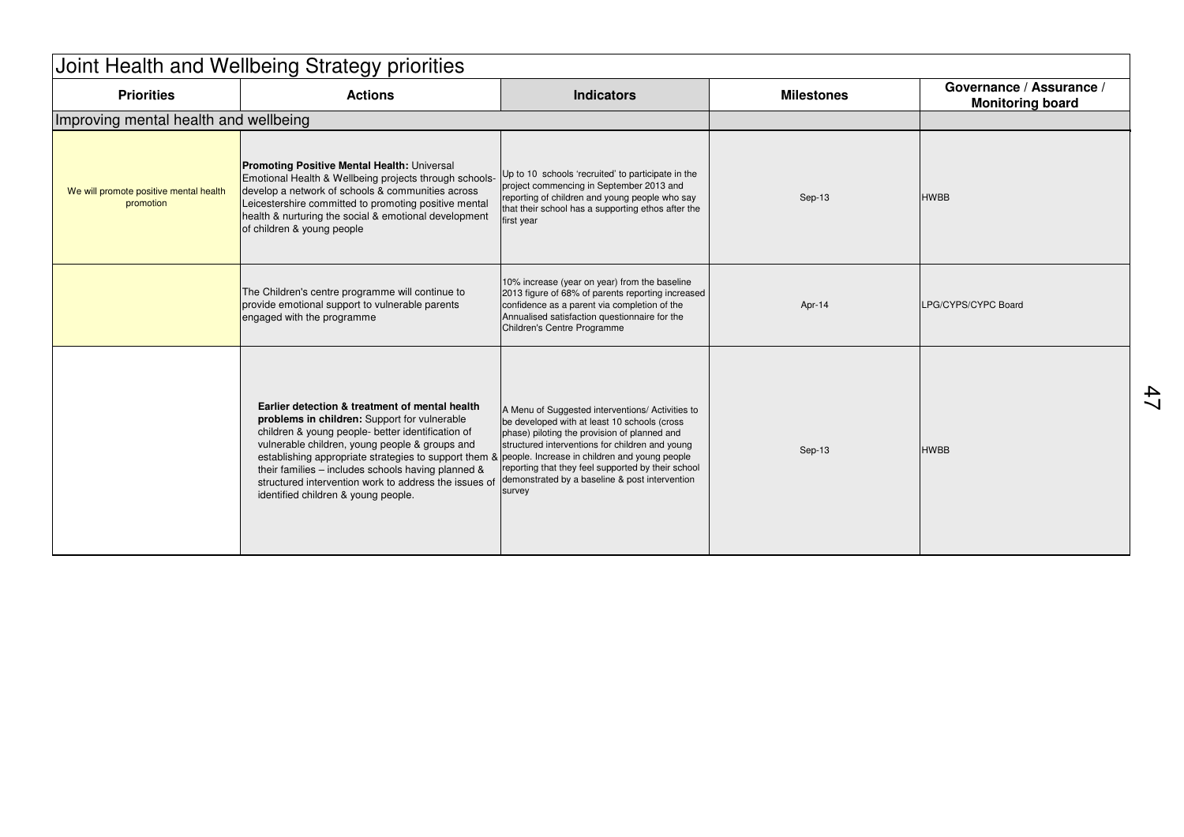| Joint Health and Wellbeing Strategy priorities      |                                                                                                                                                                                                                                                                                                                                                                                                                                                                    |                                                                                                                                                                                                                                                                                                                       |                   |                                                     |  |  |  |  |
|-----------------------------------------------------|--------------------------------------------------------------------------------------------------------------------------------------------------------------------------------------------------------------------------------------------------------------------------------------------------------------------------------------------------------------------------------------------------------------------------------------------------------------------|-----------------------------------------------------------------------------------------------------------------------------------------------------------------------------------------------------------------------------------------------------------------------------------------------------------------------|-------------------|-----------------------------------------------------|--|--|--|--|
| <b>Priorities</b>                                   | <b>Actions</b>                                                                                                                                                                                                                                                                                                                                                                                                                                                     | <b>Indicators</b>                                                                                                                                                                                                                                                                                                     | <b>Milestones</b> | Governance / Assurance /<br><b>Monitoring board</b> |  |  |  |  |
| Improving mental health and wellbeing               |                                                                                                                                                                                                                                                                                                                                                                                                                                                                    |                                                                                                                                                                                                                                                                                                                       |                   |                                                     |  |  |  |  |
| We will promote positive mental health<br>promotion | Promoting Positive Mental Health: Universal<br>Emotional Health & Wellbeing projects through schools-<br>develop a network of schools & communities across<br>Leicestershire committed to promoting positive mental<br>health & nurturing the social & emotional development<br>of children & young people                                                                                                                                                         | Up to 10 schools 'recruited' to participate in the<br>project commencing in September 2013 and<br>reporting of children and young people who say<br>that their school has a supporting ethos after the<br>first year                                                                                                  | Sep-13            | <b>HWBB</b>                                         |  |  |  |  |
|                                                     | The Children's centre programme will continue to<br>provide emotional support to vulnerable parents<br>engaged with the programme                                                                                                                                                                                                                                                                                                                                  | 10% increase (year on year) from the baseline<br>2013 figure of 68% of parents reporting increased<br>confidence as a parent via completion of the<br>Annualised satisfaction questionnaire for the<br>Children's Centre Programme                                                                                    | Apr-14            | LPG/CYPS/CYPC Board                                 |  |  |  |  |
|                                                     | Earlier detection & treatment of mental health<br>problems in children: Support for vulnerable<br>children & young people- better identification of<br>vulnerable children, young people & groups and<br>establishing appropriate strategies to support them & people. Increase in children and young people<br>their families - includes schools having planned &<br>structured intervention work to address the issues of<br>identified children & young people. | A Menu of Suggested interventions/ Activities to<br>be developed with at least 10 schools (cross<br>phase) piloting the provision of planned and<br>structured interventions for children and young<br>reporting that they feel supported by their school<br>demonstrated by a baseline & post intervention<br>survey | Sep-13            | <b>HWBB</b>                                         |  |  |  |  |